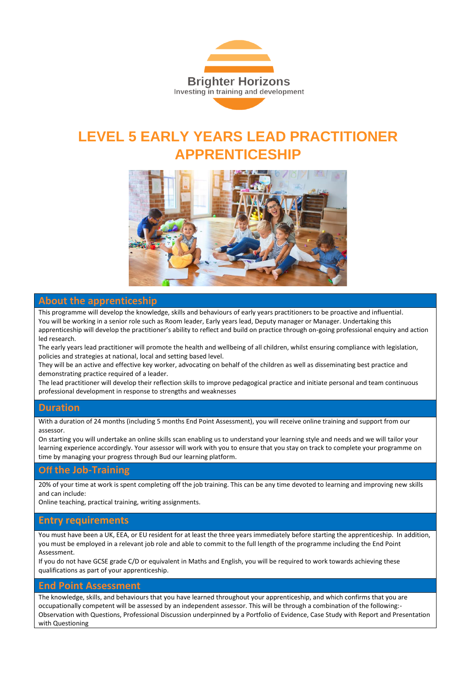

# **LEVEL 5 EARLY YEARS LEAD PRACTITIONER APPRENTICESHIP**



### **About the apprenticeship**

This programme will develop the knowledge, skills and behaviours of early years practitioners to be proactive and influential. You will be working in a senior role such as Room leader, Early years lead, Deputy manager or Manager. Undertaking this apprenticeship will develop the practitioner's ability to reflect and build on practice through on-going professional enquiry and action led research.

The early years lead practitioner will promote the health and wellbeing of all children, whilst ensuring compliance with legislation, policies and strategies at national, local and setting based level.

They will be an active and effective key worker, advocating on behalf of the children as well as disseminating best practice and demonstrating practice required of a leader.

The lead practitioner will develop their reflection skills to improve pedagogical practice and initiate personal and team continuous professional development in response to strengths and weaknesses

#### **Duration**

With a duration of 24 months (including 5 months End Point Assessment), you will receive online training and support from our assessor.

On starting you will undertake an online skills scan enabling us to understand your learning style and needs and we will tailor your learning experience accordingly. Your assessor will work with you to ensure that you stay on track to complete your programme on time by managing your progress through Bud our learning platform.

#### **Off the Job-Training**

20% of your time at work is spent completing off the job training. This can be any time devoted to learning and improving new skills and can include:

Online teaching, practical training, writing assignments.

#### **Entry requirements**

You must have been a UK, EEA, or EU resident for at least the three years immediately before starting the apprenticeship. In addition, you must be employed in a relevant job role and able to commit to the full length of the programme including the End Point Assessment.

If you do not have GCSE grade C/D or equivalent in Maths and English, you will be required to work towards achieving these qualifications as part of your apprenticeship.

#### **End Point Assessment**

The knowledge, skills, and behaviours that you have learned throughout your apprenticeship, and which confirms that you are occupationally competent will be assessed by an independent assessor. This will be through a combination of the following:- Observation with Questions, Professional Discussion underpinned by a Portfolio of Evidence, Case Study with Report and Presentation with Questioning